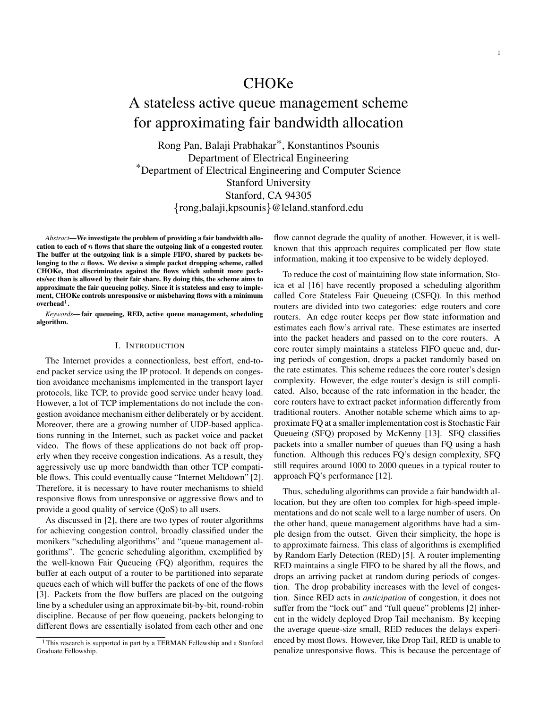## **CHOKe**

# A stateless active queue management scheme for approximating fair bandwidth allocation

Rong Pan, Balaji Prabhakar\*, Konstantinos Psounis Department of Electrical Engineering \*Department of Electrical Engineering and Computer Science Stanford University Stanford, CA 94305 rong,balaji,kpsounis @leland.stanford.edu

*Abstract***—We investigate the problem of providing a fair bandwidth allo**cation to each of  $n$  flows that share the outgoing link of a congested router. **The buffer at the outgoing link is a simple FIFO, shared by packets be**longing to the  $n$  flows. We devise a simple packet dropping scheme, called **CHOKe, that discriminates against the flows which submit more packets/sec than is allowed by their fair share. By doing this, the scheme aims to approximate the fair queueing policy. Since it is stateless and easy to implement, CHOKe controls unresponsive or misbehaving flows with a minimum**  $\mathbf{overhead}^1$ .

*Keywords***— fair queueing, RED, active queue management, scheduling algorithm.**

#### I. INTRODUCTION

The Internet provides a connectionless, best effort, end-toend packet service using the IP protocol. It depends on congestion avoidance mechanisms implemented in the transport layer protocols, like TCP, to provide good service under heavy load. However, a lot of TCP implementations do not include the congestion avoidance mechanism either deliberately or by accident. Moreover, there are a growing number of UDP-based applications running in the Internet, such as packet voice and packet video. The flows of these applications do not back off properly when they receive congestion indications. As a result, they aggressively use up more bandwidth than other TCP compatible flows. This could eventually cause "Internet Meltdown" [2]. Therefore, it is necessary to have router mechanisms to shield responsive flows from unresponsive or aggressive flows and to provide a good quality of service (QoS) to all users.

As discussed in [2], there are two types of router algorithms for achieving congestion control, broadly classified under the monikers "scheduling algorithms" and "queue management algorithms". The generic scheduling algorithm, exemplified by the well-known Fair Queueing (FQ) algorithm, requires the buffer at each output of a router to be partitioned into separate queues each of which will buffer the packets of one of the flows [3]. Packets from the flow buffers are placed on the outgoing line by a scheduler using an approximate bit-by-bit, round-robin discipline. Because of per flow queueing, packets belonging to different flows are essentially isolated from each other and one

flow cannot degrade the quality of another. However, it is wellknown that this approach requires complicated per flow state information, making it too expensive to be widely deployed.

To reduce the cost of maintaining flow state information, Stoica et al [16] have recently proposed a scheduling algorithm called Core Stateless Fair Queueing (CSFQ). In this method routers are divided into two categories: edge routers and core routers. An edge router keeps per flow state information and estimates each flow's arrival rate. These estimates are inserted into the packet headers and passed on to the core routers. A core router simply maintains a stateless FIFO queue and, during periods of congestion, drops a packet randomly based on the rate estimates. This scheme reduces the core router's design complexity. However, the edge router's design is still complicated. Also, because of the rate information in the header, the core routers have to extract packet information differently from traditional routers. Another notable scheme which aims to approximate FQ at a smaller implementation cost is Stochastic Fair Queueing (SFQ) proposed by McKenny [13]. SFQ classifies packets into a smaller number of queues than FQ using a hash function. Although this reduces FQ's design complexity, SFQ still requires around 1000 to 2000 queues in a typical router to approach FQ's performance [12].

Thus, scheduling algorithms can provide a fair bandwidth allocation, but they are often too complex for high-speed implementations and do not scale well to a large number of users. On the other hand, queue management algorithms have had a simple design from the outset. Given their simplicity, the hope is to approximate fairness. This class of algorithms is exemplified by Random Early Detection (RED) [5]. A router implementing RED maintains a single FIFO to be shared by all the flows, and drops an arriving packet at random during periods of congestion. The drop probability increases with the level of congestion. Since RED acts in *anticipation* of congestion, it does not suffer from the "lock out" and "full queue" problems [2] inherent in the widely deployed Drop Tail mechanism. By keeping the average queue-size small, RED reduces the delays experienced by most flows. However, like Drop Tail, RED is unable to penalize unresponsive flows. This is because the percentage of

<sup>&</sup>lt;sup>1</sup>This research is supported in part by a TERMAN Fellewship and a Stanford Graduate Fellowship.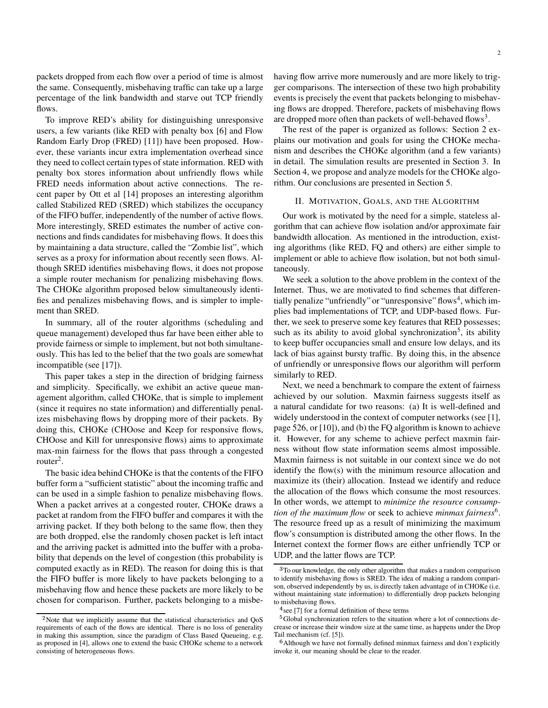packets dropped from each flow over a period of time is almost the same. Consequently, misbehaving traffic can take up a large percentage of the link bandwidth and starve out TCP friendly flows.

To improve RED's ability for distinguishing unresponsive users, a few variants (like RED with penalty box [6] and Flow Random Early Drop (FRED) [11]) have been proposed. However, these variants incur extra implementation overhead since they need to collect certain types of state information. RED with penalty box stores information about unfriendly flows while FRED needs information about active connections. The recent paper by Ott et al [14] proposes an interesting algorithm called Stabilized RED (SRED) which stabilizes the occupancy of the FIFO buffer, independently of the number of active flows. More interestingly, SRED estimates the number of active connections and finds candidates for misbehaving flows. It does this by maintaining a data structure, called the "Zombie list", which serves as a proxy for information about recently seen flows. Although SRED identifies misbehaving flows, it does not propose a simple router mechanism for penalizing misbehaving flows. The CHOKe algorithm proposed below simultaneously identifies and penalizes misbehaving flows, and is simpler to implement than SRED.

In summary, all of the router algorithms (scheduling and queue management) developed thus far have been either able to provide fairness or simple to implement, but not both simultaneously. This has led to the belief that the two goals are somewhat incompatible (see [17]).

This paper takes a step in the direction of bridging fairness and simplicity. Specifically, we exhibit an active queue management algorithm, called CHOKe, that is simple to implement (since it requires no state information) and differentially penalizes misbehaving flows by dropping more of their packets. By doing this, CHOKe (CHOose and Keep for responsive flows, CHOose and Kill for unresponsive flows) aims to approximate max-min fairness for the flows that pass through a congested router<sup>2</sup>.

The basic idea behind CHOKe is that the contents of the FIFO buffer form a "sufficient statistic" about the incoming traffic and can be used in a simple fashion to penalize misbehaving flows. When a packet arrives at a congested router, CHOKe draws a packet at random from the FIFO buffer and compares it with the arriving packet. If they both belong to the same flow, then they are both dropped, else the randomly chosen packet is left intact and the arriving packet is admitted into the buffer with a probability that depends on the level of congestion (this probability is computed exactly as in RED). The reason for doing this is that the FIFO buffer is more likely to have packets belonging to a misbehaving flow and hence these packets are more likely to be chosen for comparison. Further, packets belonging to a misbe-

 $2$ Note that we implicitly assume that the statistical characteristics and QoS requirements of each of the flows are identical. There is no loss of generality in making this assumption, since the paradigm of Class Based Queueing, e.g. as proposed in [4], allows one to extend the basic CHOKe scheme to a network consisting of heterogeneous flows.

having flow arrive more numerously and are more likely to trigger comparisons. The intersection of these two high probability events is precisely the event that packets belonging to misbehaving flows are dropped. Therefore, packets of misbehaving flows are dropped more often than packets of well-behaved flows<sup>3</sup>.

The rest of the paper is organized as follows: Section 2 explains our motivation and goals for using the CHOKe mechanism and describes the CHOKe algorithm (and a few variants) in detail. The simulation results are presented in Section 3. In Section 4, we propose and analyze models for the CHOKe algorithm. Our conclusions are presented in Section 5.

## II. MOTIVATION, GOALS, AND THE ALGORITHM

Our work is motivated by the need for a simple, stateless algorithm that can achieve flow isolation and/or approximate fair bandwidth allocation. As mentioned in the introduction, existing algorithms (like RED, FQ and others) are either simple to implement or able to achieve flow isolation, but not both simultaneously.

We seek a solution to the above problem in the context of the Internet. Thus, we are motivated to find schemes that differentially penalize "unfriendly" or "unresponsive" flows<sup>4</sup>, which implies bad implementations of TCP, and UDP-based flows. Further, we seek to preserve some key features that RED possesses; such as its ability to avoid global synchronization<sup>5</sup>, its ability to keep buffer occupancies small and ensure low delays, and its lack of bias against bursty traffic. By doing this, in the absence of unfriendly or unresponsive flows our algorithm will perform similarly to RED.

Next, we need a benchmark to compare the extent of fairness achieved by our solution. Maxmin fairness suggests itself as a natural candidate for two reasons: (a) It is well-defined and widely understood in the context of computer networks (see [1], page 526, or [10]), and (b) the FQ algorithm is known to achieve it. However, for any scheme to achieve perfect maxmin fairness without flow state information seems almost impossible. Maxmin fairness is not suitable in our context since we do not identify the flow(s) with the minimum resource allocation and maximize its (their) allocation. Instead we identify and reduce the allocation of the flows which consume the most resources. In other words, we attempt to *minimize the resource consumption of the maximum flow* or seek to achieve *minmax fairness*<sup>6</sup> . The resource freed up as a result of minimizing the maximum flow's consumption is distributed among the other flows. In the Internet context the former flows are either unfriendly TCP or UDP, and the latter flows are TCP.

<sup>&</sup>lt;sup>3</sup>To our knowledge, the only other algorithm that makes a random comparison to identify misbehaving flows is SRED. The idea of making a random comparison, observed independently by us, is directly taken advantage of in CHOKe (i.e. without maintaining state information) to differentially drop packets belonging to misbehaving flows.

 $4$  see [7] for a formal definition of these terms

<sup>&</sup>lt;sup>5</sup>Global synchronization refers to the situation where a lot of connections decrease or increase their window size at the same time, as happens under the Drop Tail mechanism (cf. [5]).

 $6$ Although we have not formally defined minmax fairness and don't explicitly invoke it, our meaning should be clear to the reader.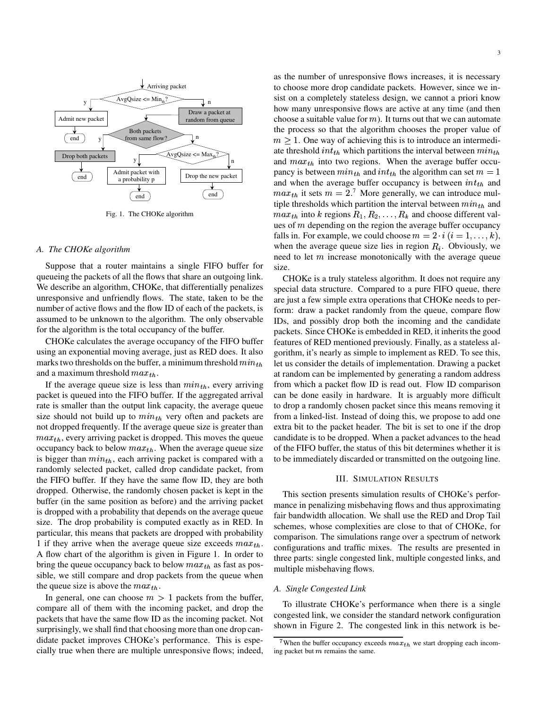

Fig. 1. The CHOKe algorithm

#### *A. The CHOKe algorithm*

Suppose that a router maintains a single FIFO buffer for queueing the packets of all the flows that share an outgoing link. We describe an algorithm, CHOKe, that differentially penalizes unresponsive and unfriendly flows. The state, taken to be the number of active flows and the flow ID of each of the packets, is assumed to be unknown to the algorithm. The only observable for the algorithm is the total occupancy of the buffer.

CHOKe calculates the average occupancy of the FIFO buffer using an exponential moving average, just as RED does. It also marks two thresholds on the buffer, a minimum threshold  $min_{th}$ and a maximum threshold  $max_{th}$ .

If the average queue size is less than  $min_{th}$ , every arriving packet is queued into the FIFO buffer. If the aggregated arrival rate is smaller than the output link capacity, the average queue size should not build up to  $min_{th}$  very often and packets are not dropped frequently. If the average queue size is greater than  $max_{th}$ , every arriving packet is dropped. This moves the queue occupancy back to below  $max_{th}$ . When the average queue size is bigger than  $min_{th}$ , each arriving packet is compared with a randomly selected packet, called drop candidate packet, from the FIFO buffer. If they have the same flow ID, they are both dropped. Otherwise, the randomly chosen packet is kept in the buffer (in the same position as before) and the arriving packet is dropped with a probability that depends on the average queue size. The drop probability is computed exactly as in RED. In particular, this means that packets are dropped with probability 1 if they arrive when the average queue size exceeds  $max_{th}$ . A flow chart of the algorithm is given in Figure 1. In order to bring the queue occupancy back to below  $max_{th}$  as fast as possible, we still compare and drop packets from the queue when the queue size is above the  $max_{th}$ .

In general, one can choose  $m > 1$  packets from the buffer, compare all of them with the incoming packet, and drop the packets that have the same flow ID as the incoming packet. Not surprisingly, we shall find that choosing more than one drop candidate packet improves CHOKe's performance. This is especially true when there are multiple unresponsive flows; indeed,

as the number of unresponsive flows increases, it is necessary to choose more drop candidate packets. However, since we insist on a completely stateless design, we cannot a priori know how many unresponsive flows are active at any time (and then choose a suitable value for  $m$ ). It turns out that we can automate the process so that the algorithm chooses the proper value of  $m > 1$ . One way of achieving this is to introduce an intermediate threshold  $int_{th}$  which partitions the interval between  $min_{th}$ and  $max_{th}$  into two regions. When the average buffer occupancy is between  $min_{th}$  and  $int_{th}$  the algorithm can set  $m = 1$ and when the average buffer occupancy is between  $int_{th}$  and  $max_{th}$  it sets  $m = 2$ .<sup>7</sup> More generally, we can introduce multiple thresholds which partition the interval between  $min_{th}$  and  $max_{th}$  into k regions  $R_1, R_2, \ldots, R_k$  and choose different values of  *depending on the region the average buffer occupancy* falls in. For example, we could choose  $m = 2 \cdot i$   $(i = 1, \ldots, k)$ , when the average queue size lies in region  $R_i$ . Obviously, we need to let  *increase monotonically with the average queue* size.

 $\delta n_{th}$  let us consider the details of implementation. Drawing a packet CHOKe is a truly stateless algorithm. It does not require any special data structure. Compared to a pure FIFO queue, there are just a few simple extra operations that CHOKe needs to perform: draw a packet randomly from the queue, compare flow IDs, and possibly drop both the incoming and the candidate packets. Since CHOKe is embedded in RED, it inherits the good features of RED mentioned previously. Finally, as a stateless algorithm, it's nearly as simple to implement as RED. To see this, at random can be implemented by generating a random address from which a packet flow ID is read out. Flow ID comparison can be done easily in hardware. It is arguably more difficult to drop a randomly chosen packet since this means removing it from a linked-list. Instead of doing this, we propose to add one extra bit to the packet header. The bit is set to one if the drop candidate is to be dropped. When a packet advances to the head of the FIFO buffer, the status of this bit determines whether it is to be immediately discarded or transmitted on the outgoing line.

#### III. SIMULATION RESULTS

This section presents simulation results of CHOKe's performance in penalizing misbehaving flows and thus approximating fair bandwidth allocation. We shall use the RED and Drop Tail schemes, whose complexities are close to that of CHOKe, for comparison. The simulations range over a spectrum of network configurations and traffic mixes. The results are presented in three parts: single congested link, multiple congested links, and multiple misbehaving flows.

#### *A. Single Congested Link*

To illustrate CHOKe's performance when there is a single congested link, we consider the standard network configuration shown in Figure 2. The congested link in this network is be-

<sup>&</sup>lt;sup>7</sup>When the buffer occupancy exceeds  $max_{th}$  we start dropping each incoming packet but  $m$  remains the same.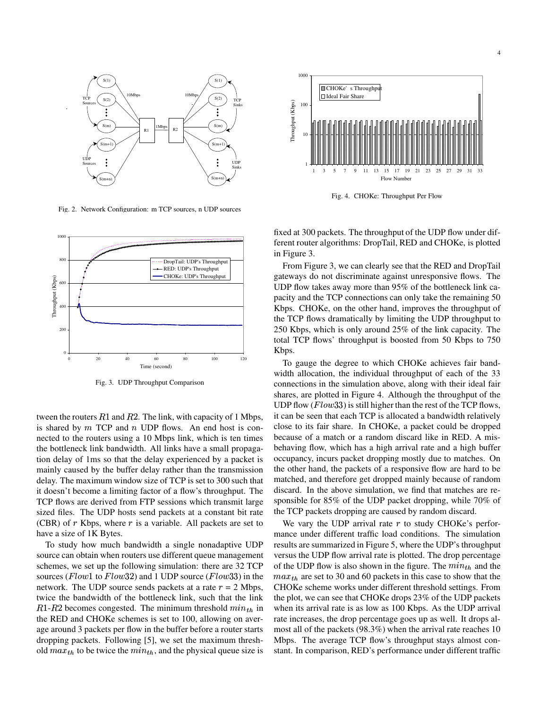

Fig. 2. Network Configuration: m TCP sources, n UDP sources



Fig. 3. UDP Throughput Comparison

tween the routers  $R1$  and  $R2$ . The link, with capacity of 1 Mbps, is shared by  $m$  TCP and  $n$  UDP flows. An end host is connected to the routers using a 10 Mbps link, which is ten times the bottleneck link bandwidth. All links have a small propagation delay of 1ms so that the delay experienced by a packet is mainly caused by the buffer delay rather than the transmission delay. The maximum window size of TCP is set to 300 such that it doesn't become a limiting factor of a flow's throughput. The TCP flows are derived from FTP sessions which transmit large sized files. The UDP hosts send packets at a constant bit rate (CBR) of  $r$  Kbps, where  $r$  is a variable. All packets are set to have a size of 1K Bytes.

To study how much bandwidth a single nonadaptive UDP source can obtain when routers use different queue management schemes, we set up the following simulation: there are 32 TCP sources ( $Flow1$  to  $Flow32$ ) and 1 UDP source ( $Flow33$ ) in the network. The UDP source sends packets at a rate  $r = 2$  Mbps, twice the bandwidth of the bottleneck link, such that the link  $R1-R2$  becomes congested. The minimum threshold  $min_{th}$  in wh the RED and CHOKe schemes is set to 100, allowing on average around 3 packets per flow in the buffer before a router starts dropping packets. Following [5], we set the maximum threshold  $max_{th}$  to be twice the  $min_{th}$ , and the physical queue size is



Fig. 4. CHOKe: Throughput Per Flow

fixed at 300 packets. The throughput of the UDP flow under different router algorithms: DropTail, RED and CHOKe, is plotted in Figure 3.

From Figure 3, we can clearly see that the RED and DropTail gateways do not discriminate against unresponsive flows. The UDP flow takes away more than 95% of the bottleneck link capacity and the TCP connections can only take the remaining 50 Kbps. CHOKe, on the other hand, improves the throughput of the TCP flows dramatically by limiting the UDP throughput to 250 Kbps, which is only around 25% of the link capacity. The total TCP flows' throughput is boosted from 50 Kbps to 750 Kbps.

To gauge the degree to which CHOKe achieves fair bandwidth allocation, the individual throughput of each of the 33 connections in the simulation above, along with their ideal fair shares, are plotted in Figure 4. Although the throughput of the UDP flow ( $Flow33$ ) is still higher than the rest of the TCP flows, it can be seen that each TCP is allocated a bandwidth relatively close to its fair share. In CHOKe, a packet could be dropped because of a match or a random discard like in RED. A misbehaving flow, which has a high arrival rate and a high buffer occupancy, incurs packet dropping mostly due to matches. On the other hand, the packets of a responsive flow are hard to be matched, and therefore get dropped mainly because of random discard. In the above simulation, we find that matches are responsible for 85% of the UDP packet dropping, while 70% of the TCP packets dropping are caused by random discard.

We vary the UDP arrival rate  $r$  to study CHOKe's performance under different traffic load conditions. The simulation results are summarized in Figure 5, where the UDP's throughput versus the UDP flow arrival rate is plotted. The drop percentage of the UDP flow is also shown in the figure. The  $min_{th}$  and the  $max_{th}$  are set to 30 and 60 packets in this case to show that the CHOKe scheme works under different threshold settings. From the plot, we can see that CHOKe drops 23% of the UDP packets when its arrival rate is as low as 100 Kbps. As the UDP arrival rate increases, the drop percentage goes up as well. It drops almost all of the packets (98.3%) when the arrival rate reaches 10 Mbps. The average TCP flow's throughput stays almost constant. In comparison, RED's performance under different traffic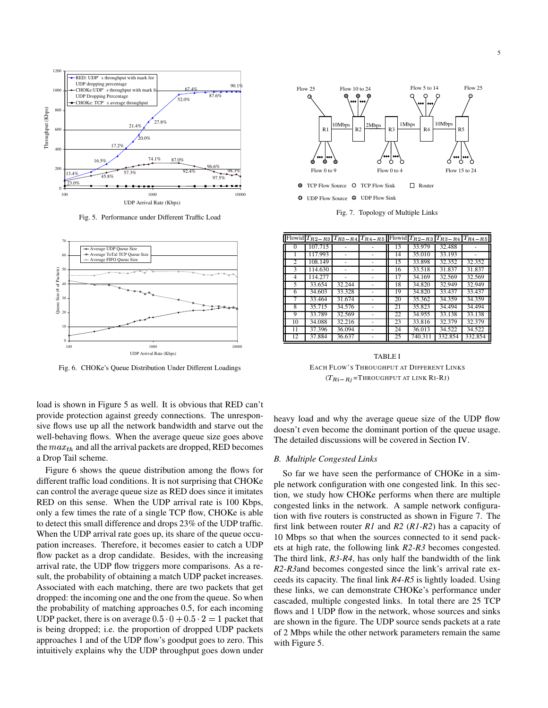

Fig. 5. Performance under Different Traffic Load



Fig. 6. CHOKe's Queue Distribution Under Different Loadings

load is shown in Figure 5 as well. It is obvious that RED can't provide protection against greedy connections. The unresponsive flows use up all the network bandwidth and starve out the well-behaving flows. When the average queue size goes above the  $max_{th}$  and all the arrival packets are dropped, RED becomes a Drop Tail scheme.

Figure 6 shows the queue distribution among the flows for different traffic load conditions. It is not surprising that CHOKe can control the average queue size as RED does since it imitates RED on this sense. When the UDP arrival rate is 100 Kbps, only a few times the rate of a single TCP flow, CHOKe is able to detect this small difference and drops 23% of the UDP traffic. When the UDP arrival rate goes up, its share of the queue occupation increases. Therefore, it becomes easier to catch a UDP flow packet as a drop candidate. Besides, with the increasing arrival rate, the UDP flow triggers more comparisons. As a result, the probability of obtaining a match UDP packet increases. Associated with each matching, there are two packets that get dropped: the incoming one and the one from the queue. So when the probability of matching approaches 0.5, for each incoming UDP packet, there is on average  $0.5\cdot 0+0.5\cdot 2=1$  packet that is being dropped; i.e. the proportion of dropped UDP packets approaches 1 and of the UDP flow's goodput goes to zero. This intuitively explains why the UDP throughput goes down under



Fig. 7. Topology of Multiple Links

|    |         |        |    |         |         | Flowid $T_{R2-R3}$   $T_{R3-R4}$   $T_{R4-R5}$   Flowid   $T_{R2-R3}$   $T_{R3-R4}$   $T_{R4-R5}$ |
|----|---------|--------|----|---------|---------|---------------------------------------------------------------------------------------------------|
|    | 107.715 |        | 13 | 33.979  | 32.488  |                                                                                                   |
|    | 117.993 |        | 14 | 35.010  | 33.193  |                                                                                                   |
| 2  | 108.149 |        | 15 | 33.898  | 32.352  | 32.352                                                                                            |
| 3  | 114.630 |        | 16 | 33.518  | 31.837  | 31.837                                                                                            |
| 4  | 114.277 |        | 17 | 34.169  | 32.569  | 32.569                                                                                            |
| 5. | 33.654  | 32.244 | 18 | 34.820  | 32.949  | 32.949                                                                                            |
| 6  | 34.603  | 33.328 | 19 | 34.820  | 33.437  | 33.437                                                                                            |
|    | 33.464  | 31.674 | 20 | 35.362  | 34.359  | 34.359                                                                                            |
| 8  | 35.715  | 34.576 | 21 | 35.823  | 34.494  | 34.494                                                                                            |
| 9  | 33.789  | 32.569 | 22 | 34.955  | 33.138  | 33.138                                                                                            |
| 10 | 34.088  | 32.216 | 23 | 33.816  | 32.379  | 32.379                                                                                            |
| 11 | 37.396  | 36.094 | 24 | 36.013  | 34.522  | 34.522                                                                                            |
| 12 | 37.884  | 36.637 | 25 | 740.311 | 332.854 | 332.854                                                                                           |

TABLE I EACH FLOW'S THROUGHPUT AT DIFFERENT LINKS  $(T_{Ri-Rj}$ =THROUGHPUT AT LINK RI-RJ)

heavy load and why the average queue size of the UDP flow doesn't even become the dominant portion of the queue usage. The detailed discussions will be covered in Section IV.

#### *B. Multiple Congested Links*

So far we have seen the performance of CHOKe in a simple network configuration with one congested link. In this section, we study how CHOKe performs when there are multiple congested links in the network. A sample network configuration with five routers is constructed as shown in Figure 7. The first link between router *R1* and *R2* (*R1-R2*) has a capacity of 10 Mbps so that when the sources connected to it send packets at high rate, the following link *R2-R3* becomes congested. The third link, *R3-R4*, has only half the bandwidth of the link *R2-R3*and becomes congested since the link's arrival rate exceeds its capacity. The final link *R4-R5* is lightly loaded. Using these links, we can demonstrate CHOKe's performance under cascaded, multiple congested links. In total there are 25 TCP flows and 1 UDP flow in the network, whose sources and sinks are shown in the figure. The UDP source sends packets at a rate of 2 Mbps while the other network parameters remain the same with Figure 5.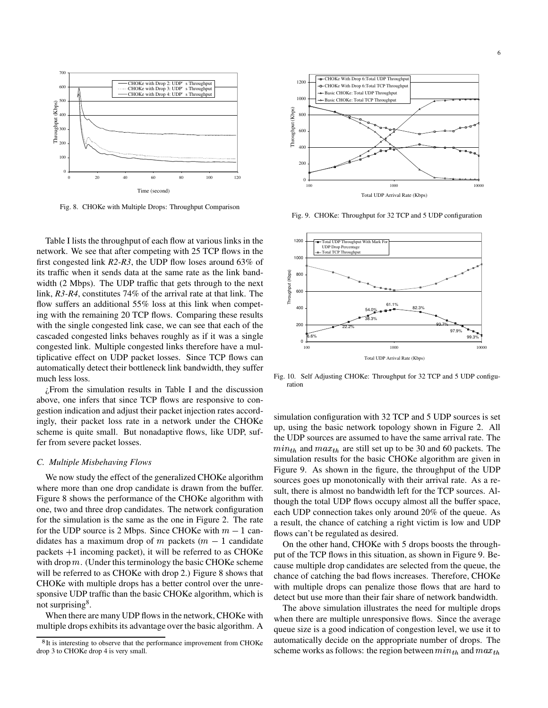

Fig. 8. CHOKe with Multiple Drops: Throughput Comparison

Table I lists the throughput of each flow at various links in the network. We see that after competing with 25 TCP flows in the first congested link *R2-R3*, the UDP flow loses around 63% of its traffic when it sends data at the same rate as the link bandwidth (2 Mbps). The UDP traffic that gets through to the next link, *R3-R4*, constitutes 74% of the arrival rate at that link. The flow suffers an additional 55% loss at this link when competing with the remaining 20 TCP flows. Comparing these results with the single congested link case, we can see that each of the cascaded congested links behaves roughly as if it was a single congested link. Multiple congested links therefore have a multiplicative effect on UDP packet losses. Since TCP flows can automatically detect their bottleneck link bandwidth, they suffer much less loss.

¿From the simulation results in Table I and the discussion above, one infers that since TCP flows are responsive to congestion indication and adjust their packet injection rates accordingly, their packet loss rate in a network under the CHOKe scheme is quite small. But nonadaptive flows, like UDP, suffer from severe packet losses.

## *C. Multiple Misbehaving Flows*

We now study the effect of the generalized CHOKe algorithm where more than one drop candidate is drawn from the buffer. Figure 8 shows the performance of the CHOKe algorithm with one, two and three drop candidates. The network configuration for the simulation is the same as the one in Figure 2. The rate for the UDP source is 2 Mbps. Since CHOKe with  $m-1$  candidates has a maximum drop of  $m$  packets ( $m-1$  candidate packets  $+1$  incoming packet), it will be referred to as CHOKe with drop  $m$ . (Under this terminology the basic CHOKe scheme will be referred to as CHOKe with drop 2.) Figure 8 shows that CHOKe with multiple drops has a better control over the unresponsive UDP traffic than the basic CHOKe algorithm, which is not surprising<sup>8</sup>.

When there are many UDP flows in the network, CHOKe with multiple drops exhibits its advantage over the basic algorithm. A



Fig. 9. CHOKe: Throughput for 32 TCP and 5 UDP configuration



Fig. 10. Self Adjusting CHOKe: Throughput for 32 TCP and 5 UDP configuration

simulation configuration with 32 TCP and 5 UDP sources is set up, using the basic network topology shown in Figure 2. All the UDP sources are assumed to have the same arrival rate. The  $min_{th}$  and  $max_{th}$  are still set up to be 30 and 60 packets. The simulation results for the basic CHOKe algorithm are given in Figure 9. As shown in the figure, the throughput of the UDP sources goes up monotonically with their arrival rate. As a result, there is almost no bandwidth left for the TCP sources. Although the total UDP flows occupy almost all the buffer space, each UDP connection takes only around 20% of the queue. As a result, the chance of catching a right victim is low and UDP flows can't be regulated as desired.

On the other hand, CHOKe with 5 drops boosts the throughput of the TCP flows in this situation, as shown in Figure 9. Because multiple drop candidates are selected from the queue, the chance of catching the bad flows increases. Therefore, CHOKe with multiple drops can penalize those flows that are hard to detect but use more than their fair share of network bandwidth.

The above simulation illustrates the need for multiple drops when there are multiple unresponsive flows. Since the average queue size is a good indication of congestion level, we use it to automatically decide on the appropriate number of drops. The scheme works as follows: the region between  $min_{th}$  and  $max_{t}$ 

<sup>&</sup>lt;sup>8</sup>It is interesting to observe that the performance improvement from CHOKe drop 3 to CHOKe drop 4 is very small.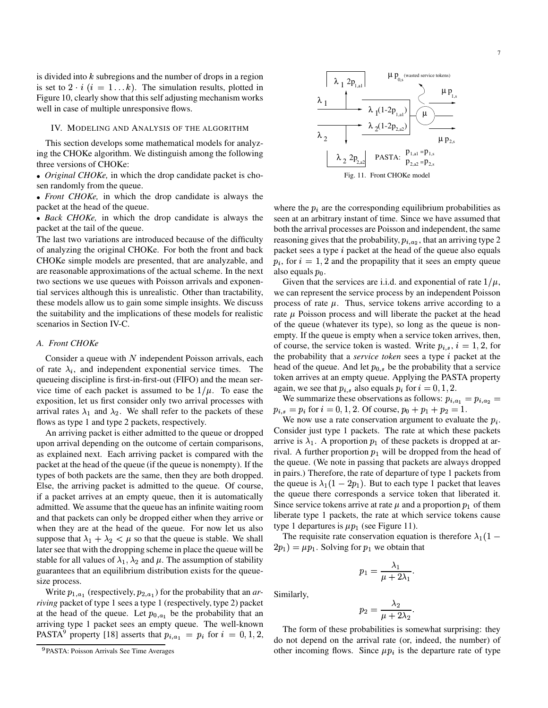is divided into  $k$  subregions and the number of drops in a region is set to  $2 \cdot i$  ( $i = 1...k$ ). The simulation results, plotted in Figure 10, clearly show that this self adjusting mechanism works well in case of multiple unresponsive flows.

#### IV. MODELING AND ANALYSIS OF THE ALGORITHM

This section develops some mathematical models for analyzing the CHOKe algorithm. We distinguish among the following three versions of CHOKe:

• *Original CHOKe*, in which the drop candidate packet is chosen randomly from the queue.

• Front CHOKe, in which the drop candidate is always the packet at the head of the queue.

• Back CHOKe, in which the drop candidate is always the packet at the tail of the queue.

The last two variations are introduced because of the difficulty of analyzing the original CHOKe. For both the front and back CHOKe simple models are presented, that are analyzable, and are reasonable approximations of the actual scheme. In the next two sections we use queues with Poisson arrivals and exponential services although this is unrealistic. Other than tractability, these models allow us to gain some simple insights. We discuss the suitability and the implications of these models for realistic scenarios in Section IV-C.

#### *A. Front CHOKe*

Consider a queue with  $N$  independent Poisson arrivals, each of rate  $\lambda_i$ , and independent exponential service times. The queueing discipline is first-in-first-out (FIFO) and the mean service time of each packet is assumed to be  $1/\mu$ . To ease the exposition, let us first consider only two arrival processes with arrival rates  $\lambda_1$  and  $\lambda_2$ . We shall refer to the packets of these flows as type 1 and type 2 packets, respectively.

An arriving packet is either admitted to the queue or dropped upon arrival depending on the outcome of certain comparisons, as explained next. Each arriving packet is compared with the packet at the head of the queue (if the queue is nonempty). If the types of both packets are the same, then they are both dropped. Else, the arriving packet is admitted to the queue. Of course, if a packet arrives at an empty queue, then it is automatically admitted. We assume that the queue has an infinite waiting room and that packets can only be dropped either when they arrive or when they are at the head of the queue. For now let us also suppose that  $\lambda_1 + \lambda_2 < \mu$  so that the queue is stable. We shall later see that with the dropping scheme in place the queue will be stable for all values of  $\lambda_1$ ,  $\lambda_2$  and  $\mu$ . The assumption of stability guarantees that an equilibrium distribution exists for the queuesize process.

Write  $p_{1,a_1}$  (respectively,  $p_{2,a_1}$ ) for the probability that an *arriving* packet of type 1 sees a type 1 (respectively, type 2) packet at the head of the queue. Let  $p_{0,a_1}$  be the probability that an arriving type 1 packet sees an empty queue. The well-known PASTA<sup>9</sup> property [18] asserts that  $p_{i,a_1} = p_i$  for  $i = 0,1,2,$ 



where the  $p_i$  are the corresponding equilibrium probabilities as seen at an arbitrary instant of time. Since we have assumed that both the arrival processes are Poisson and independent, the same reasoning gives that the probability,  $p_{i,a_2}$ , that an arriving type 2 packet sees a type  $i$  packet at the head of the queue also equals  $p_i$ , for  $i = 1, 2$  and the propapility that it sees an empty queue also equals  $p_0$ .

Given that the services are i.i.d. and exponential of rate  $1/\mu$ , we can represent the service process by an independent Poisson process of rate  $\mu$ . Thus, service tokens arrive according to a rate  $\mu$  Poisson process and will liberate the packet at the head of the queue (whatever its type), so long as the queue is nonempty. If the queue is empty when a service token arrives, then, of course, the service token is wasted. Write  $p_{i,s}$ ,  $i = 1, 2$ , for the probability that a *service token* sees a type *i* packet at the head of the queue. And let  $p_{0,s}$  be the probability that a service token arrives at an empty queue. Applying the PASTA property again, we see that  $p_{i,s}$  also equals  $p_i$  for  $i=0,1,2$ .

We summarize these observations as follows:  $p_{i,a_1} = p_{i,a_2} =$  $p_{i,s} = p_i$  for  $i = 0, 1, 2$ . Of course,  $p_0 + p_1 + p_2 = 1$ .

We now use a rate conservation argument to evaluate the  $p_i$ . Consider just type 1 packets. The rate at which these packets arrive is  $\lambda_1$ . A proportion  $p_1$  of these packets is dropped at arrival. A further proportion  $p_1$  will be dropped from the head of the queue. (We note in passing that packets are always dropped in pairs.) Therefore, the rate of departure of type 1 packets from the queue is  $\lambda_1(1 - 2p_1)$ . But to each type 1 packet that leaves the queue there corresponds a service token that liberated it. Since service tokens arrive at rate  $\mu$  and a proportion  $p_1$  of them liberate type 1 packets, the rate at which service tokens cause type 1 departures is  $\mu p_1$  (see Figure 11).

The requisite rate conservation equation is therefore  $\lambda_1(1 (2p_1) = \mu p_1$ . Solving for  $p_1$  we obtain that

$$
p_1=\frac{\lambda_1}{\mu+2\lambda_1}.
$$

Similarly,

$$
p_2=\frac{\lambda_2}{\mu+2\lambda_2}.
$$

The form of these probabilities is somewhat surprising: they do not depend on the arrival rate (or, indeed, the number) of other incoming flows. Since  $\mu p_i$  is the departure rate of type

<sup>&</sup>lt;sup>9</sup>PASTA: Poisson Arrivals See Time Averages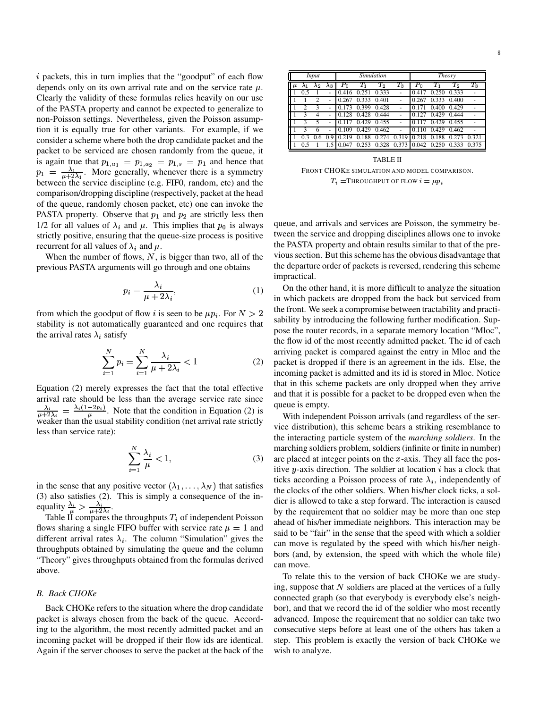$i$  packets, this in turn implies that the "goodput" of each flow depends only on its own arrival rate and on the service rate  $\mu$ . Clearly the validity of these formulas relies heavily on our use of the PASTA property and cannot be expected to generalize to non-Poisson settings. Nevertheless, given the Poisson assumption it is equally true for other variants. For example, if we consider a scheme where both the drop candidate packet and the packet to be serviced are chosen randomly from the queue, it is again true that  $p_{1, a_1} = p_{1, a_2} = p_{1, s} = p_1$  and hence that  $p_1 = \frac{\lambda_1}{\mu + 2\lambda_1}$ . More generally, whenever there is a symmetry between the service discipline (e.g. FIF0, random, etc) and the comparison/dropping discipline (respectively, packet at the head of the queue, randomly chosen packet, etc) one can invoke the PASTA property. Observe that  $p_1$  and  $p_2$  are strictly less then 1/2 for all values of  $\lambda_i$  and  $\mu$ . This implies that  $p_0$  is always strictly positive, ensuring that the queue-size process is positive recurrent for all values of  $\lambda_i$  and  $\mu$ .

When the number of flows,  $N$ , is bigger than two, all of the previous PASTA arguments will go through and one obtains

$$
p_i = \frac{\lambda_i}{\mu + 2\lambda_i},\tag{1}
$$

from which the goodput of flow *i* is seen to be  $\mu p_i$ . For  $N > 2$ stability is not automatically guaranteed and one requires that the arrival rates  $\lambda_i$  satisfy

$$
\sum_{i=1}^{N} p_i = \sum_{i=1}^{N} \frac{\lambda_i}{\mu + 2\lambda_i} < 1 \tag{2}
$$

Equation (2) merely expresses the fact that the total effective arrival rate should be less than the average service rate since  $\frac{\lambda_i}{\mu+2\lambda_i} = \frac{\lambda_i(1-2pi)}{\mu}$ . Note that the condition in Equation (2) is weaker than the usual stability condition (net arrival rate strictly less than service rate):

$$
\sum_{i=1}^{N} \frac{\lambda_i}{\mu} < 1,\tag{3}
$$

in the sense that any positive vector  $(\lambda_1, \dots, \lambda_N)$  that satisfies (3) also satisfies (2). This is simply a consequence of the inequality  $\frac{\lambda_i}{\mu} > \frac{\lambda_i}{\mu + 2\lambda_i}$ .<br>Table II compares the throughputs  $T_i$  of independent Poisson

flows sharing a single FIFO buffer with service rate  $\mu = 1$  and different arrival rates  $\lambda_i$ . The column "Simulation" gives the throughputs obtained by simulating the queue and the column "Theory" gives throughputs obtained from the formulas derived above.

#### *B. Back CHOKe*

Back CHOKe refers to the situation where the drop candidate packet is always chosen from the back of the queue. According to the algorithm, the most recently admitted packet and an incoming packet will be dropped if their flow ids are identical. Again if the server chooses to serve the packet at the back of the

| Input |     |    |                   | Simulation              |                 |                    |                  | Theory      |                  |                    |                    |
|-------|-----|----|-------------------|-------------------------|-----------------|--------------------|------------------|-------------|------------------|--------------------|--------------------|
|       |     | Λ2 | $\mathcal{A}_{3}$ | $P_{\scriptstyle\rm O}$ | $T_1$           | $\scriptstyle T_2$ | $\overline{T_3}$ | $P_{\rm 0}$ | $T_1$            | $\scriptstyle T_2$ | $\scriptstyle T_3$ |
|       | 0.5 |    |                   | .416                    |                 | 0.333              |                  |             | $^{(1)}$         | 0.333              | ۰                  |
|       |     |    |                   | .267                    | 0.333           | 0.401              |                  |             | 0.333            | 0.400              | ٠                  |
|       | ◠   | ٩  |                   |                         | 0.399           | 0.428              |                  |             | 0.400            | 0.429              |                    |
|       |     |    |                   | 128                     | 0.428           | 0.444              |                  |             | .429<br>$_{0}$   | 0.444              |                    |
|       | 3   | 5  |                   |                         | 429<br>$\Omega$ | 0.455              |                  |             | 429<br>$\Omega$  | 0.455              |                    |
|       | 2   | n  |                   | 0.109                   | 0.429           | 0.462              |                  |             | .429<br>$\Omega$ | 0.462              | ۰                  |
|       |     |    |                   | <b>Q</b>                | 88              |                    | 31<br>q<br>0     |             | 88<br>0          |                    | 0.32               |
|       |     |    |                   |                         |                 |                    | 3<br>0           | 0.042       |                  |                    |                    |

TABLE II FRONT CHOKE SIMULATION AND MODEL COMPARISON.  $T_i$  = THROUGHPUT OF FLOW  $i = \mu p_i$ 

queue, and arrivals and services are Poisson, the symmetry between the service and dropping disciplines allows one to invoke the PASTA property and obtain results similar to that of the previous section. But this scheme has the obvious disadvantage that the departure order of packets is reversed, rendering this scheme impractical.

On the other hand, it is more difficult to analyze the situation in which packets are dropped from the back but serviced from the front. We seek a compromise between tractability and practisability by introducing the following further modification. Suppose the router records, in a separate memory location "Mloc", the flow id of the most recently admitted packet. The id of each arriving packet is compared against the entry in Mloc and the packet is dropped if there is an agreement in the ids. Else, the incoming packet is admitted and its id is stored in Mloc. Notice that in this scheme packets are only dropped when they arrive and that it is possible for a packet to be dropped even when the queue is empty.

With independent Poisson arrivals (and regardless of the service distribution), this scheme bears a striking resemblance to the interacting particle system of the *marching soldiers*. In the marching soldiers problem, soldiers (infinite or finite in number) are placed at integer points on the  $x$ -axis. They all face the positive y-axis direction. The soldier at location  $i$  has a clock that ticks according a Poisson process of rate  $\lambda_i$ , independently of the clocks of the other soldiers. When his/her clock ticks, a soldier is allowed to take a step forward. The interaction is caused by the requirement that no soldier may be more than one step ahead of his/her immediate neighbors. This interaction may be said to be "fair" in the sense that the speed with which a soldier can move is regulated by the speed with which his/her neighbors (and, by extension, the speed with which the whole file) can move.

To relate this to the version of back CHOKe we are studying, suppose that  $N$  soldiers are placed at the vertices of a fully connected graph (so that everybody is everybody else's neighbor), and that we record the id of the soldier who most recently advanced. Impose the requirement that no soldier can take two consecutive steps before at least one of the others has taken a step. This problem is exactly the version of back CHOKe we wish to analyze.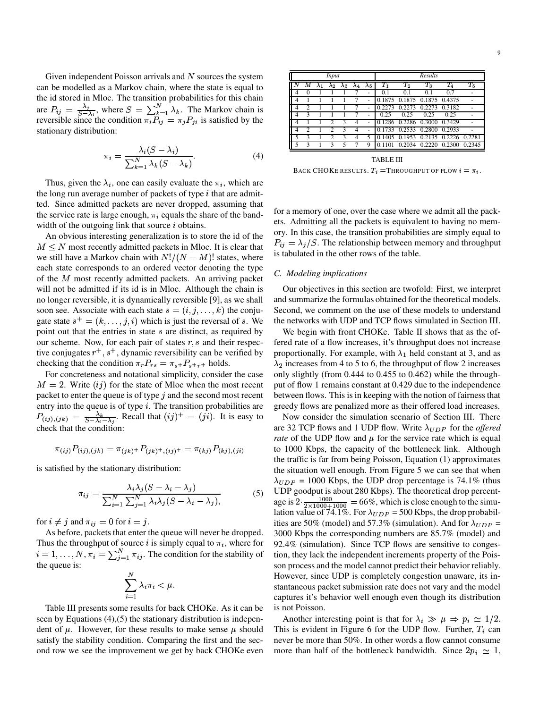Given independent Poisson arrivals and  $N$  sources the system can be modelled as a Markov chain, where the state is equal to the id stored in Mloc. The transition probabilities for this chain are  $P_{ij} = \frac{\lambda_j}{S - \lambda_i}$ , where  $S = \sum_{k=1}^{N} \lambda_k$ . The Markov chain is reversible since the condition  $\pi_i P_{ij} = \pi_j P_{ji}$  is satisfied by the stationary distribution:

$$
\pi_i = \frac{\lambda_i (S - \lambda_i)}{\sum_{k=1}^N \lambda_k (S - \lambda_k)}.
$$
\n(4)

Thus, given the  $\lambda_i$ , one can easily evaluate the  $\pi_i$ , which are the long run average number of packets of type  $i$  that are admitted. Since admitted packets are never dropped, assuming that the service rate is large enough,  $\pi_i$  equals the share of the bandwidth of the outgoing link that source  $i$  obtains.

An obvious interesting generalization is to store the id of the  $M \leq N$  most recently admitted packets in Mloc. It is clear that we still have a Markov chain with  $N!/(N-M)!$  states, where <sup>18 to</sup> each state corresponds to an ordered vector denoting the type of the  $M$  most recently admitted packets. An arriving packet will not be admitted if its id is in Mloc. Although the chain is no longer reversible, it is dynamically reversible [9], as we shall soon see. Associate with each state  $s = (i, j, \dots, k)$  the conjugate state  $s^+ = (k, \ldots, j, i)$  which is just the reversal of s. We 1 point out that the entries in state  $s$  are distinct, as required by our scheme. Now, for each pair of states  $r, s$  and their respective conjugates  $r^+, s^+,$  dynamic reversibility can be verified by checking that the condition  $\pi_r P_{rs} = \pi_{s+} P_{s+r+}$  holds.

 $M = 2$ . Write  $(ij)$  for the state of Mloc when the most recent For concreteness and notational simplicity, consider the case packet to enter the queue is of type  $j$  and the second most recent entry into the queue is of type  $i$ . The transition probabilities are  $P_{(ij),(jk)} = \frac{\lambda_k}{S - \lambda_i - \lambda_j}$ . Recall that  $(ij)^+ = (ji)$ . It is easy to check that the condition:

$$
\pi_{(ij)} P_{(ij),(jk)} = \pi_{(jk)} + P_{(jk)} + (ij)} = \pi_{(kj)} P_{(kj),(ji)} \quad \text{t}
$$

is satisfied by the stationary distribution:

$$
\pi_{ij} = \frac{\lambda_i \lambda_j (S - \lambda_i - \lambda_j)}{\sum_{i=1}^N \sum_{j=1}^N \lambda_i \lambda_j (S - \lambda_i - \lambda_j)},\tag{5}
$$

for  $i \neq j$  and  $\pi_{ij} = 0$  for  $i = j$ .

As before, packets that enter the queue will never be dropped. Thus the throughput of source *i* is simply equal to  $\pi_i$ , where for  $i=1,\ldots,N, \pi_i=\sum_{i=1}^N \pi_{ij}$ . The condition for the stability of the queue is:

$$
\sum_{i=1}^N \lambda_i \pi_i < \mu.
$$

Table III presents some results for back CHOKe. As it can be seen by Equations (4),(5) the stationary distribution is independent of  $\mu$ . However, for these results to make sense  $\mu$  should satisfy the stability condition. Comparing the first and the second row we see the improvement we get by back CHOKe even

| <b>Input</b> |  |  |             |                 |  |               | Results    |                      |        |         |             |
|--------------|--|--|-------------|-----------------|--|---------------|------------|----------------------|--------|---------|-------------|
|              |  |  | $\lambda_2$ | $\mathcal{A}_3$ |  | $\lambda_{5}$ | т,         | $T_2$                | $T_3$  | $T_{4}$ | $T_{\rm 5}$ |
|              |  |  |             |                 |  | ۰             |            |                      |        | 0.7     |             |
|              |  |  |             |                 |  |               | $^{\circ}$ | 0.1875               | 0.1875 | 0.4375  |             |
|              |  |  |             |                 |  |               |            |                      |        | 0.3182  |             |
|              |  |  |             |                 |  |               | 0.25       | 0.25                 |        | 0.25    |             |
|              |  |  |             |                 |  |               |            | 0.1286 0.2286 0.3000 |        | 0.3429  |             |
|              |  |  |             |                 |  |               |            | 0.2533               | 0.280  | 0.2933  |             |
|              |  |  |             |                 |  |               |            |                      |        |         |             |
|              |  |  |             |                 |  |               |            |                      |        |         |             |

TABLE III BACK CHOKE RESULTS.  $T_i =$ THROUGHPUT OF FLOW  $i = \pi_i$ .

for a memory of one, over the case where we admit all the packets. Admitting all the packets is equivalent to having no memory. In this case, the transition probabilities are simply equal to  $P_{ij} = \lambda_j / S$ . The relationship between memory and throughput is tabulated in the other rows of the table.

#### *C. Modeling implications*

Our objectives in this section are twofold: First, we interpret and summarize the formulas obtained for the theoretical models. Second, we comment on the use of these models to understand the networks with UDP and TCP flows simulated in Section III.

We begin with front CHOKe. Table II shows that as the offered rate of a flow increases, it's throughput does not increase proportionally. For example, with  $\lambda_1$  held constant at 3, and as  $\lambda_2$  increases from 4 to 5 to 6, the throughput of flow 2 increases only slightly (from 0.444 to 0.455 to 0.462) while the throughput of flow 1 remains constant at 0.429 due to the independence between flows. This is in keeping with the notion of fairness that greedy flows are penalized more as their offered load increases.

Now consider the simulation scenario of Section III. There are 32 TCP flows and 1 UDP flow. Write  $\lambda_{UDP}$  for the *offered rate* of the UDP flow and  $\mu$  for the service rate which is equal to 1000 Kbps, the capacity of the bottleneck link. Although the traffic is far from being Poisson, Equation (1) approximates the situation well enough. From Figure 5 we can see that when  $\lambda_{UDP} = 1000$  Kbps, the UDP drop percentage is 74.1% (thus UDP goodput is about 280 Kbps). The theoretical drop percentage is  $2 \cdot \frac{1000}{2 \times 1000 + 1000} = 66\%$ , which is close enough to the simulation value of 74.1%. For  $\lambda_{UDP} = 500$  Kbps, the drop probabilities are 50% (model) and 57.3% (simulation). And for  $\lambda_{UDP} =$ 3000 Kbps the corresponding numbers are 85.7% (model) and 92.4% (simulation). Since TCP flows are sensitive to congestion, they lack the independent increments property of the Poisson process and the model cannot predict their behavior reliably. However, since UDP is completely congestion unaware, its instantaneous packet submission rate does not vary and the model captures it's behavior well enough even though its distribution is not Poisson.

Another interesting point is that for  $\lambda_i \gg \mu \Rightarrow p_i \simeq 1/2$ . This is evident in Figure 6 for the UDP flow. Further,  $T_i$  can never be more than 50%. In other words a flow cannot consume more than half of the bottleneck bandwidth. Since  $2p_i \simeq 1$ ,